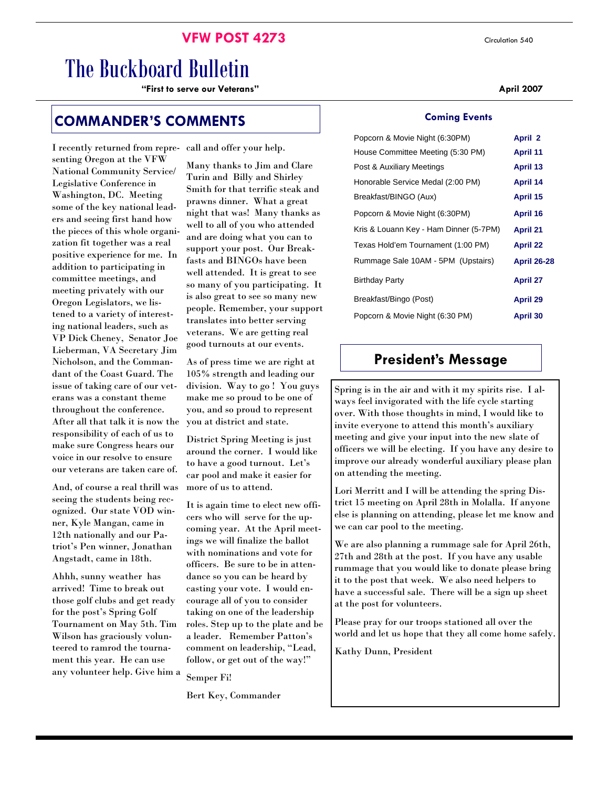## **VFW POST 4273** Circulation 540

# The Buckboard Bulletin

**"First to serve our Veterans" April 2007** 

## **COMMANDER'S COMMENTS**

I recently returned from representing Oregon at the VFW National Community Service/ Legislative Conference in Washington, DC. Meeting some of the key national leaders and seeing first hand how the pieces of this whole organization fit together was a real positive experience for me. In addition to participating in committee meetings, and meeting privately with our Oregon Legislators, we listened to a variety of interesting national leaders, such as VP Dick Cheney, Senator Joe Lieberman, VA Secretary Jim Nicholson, and the Commandant of the Coast Guard. The issue of taking care of our veterans was a constant theme throughout the conference. After all that talk it is now the responsibility of each of us to make sure Congress hears our voice in our resolve to ensure our veterans are taken care of.

And, of course a real thrill was seeing the students being recognized. Our state VOD winner, Kyle Mangan, came in 12th nationally and our Patriot's Pen winner, Jonathan Angstadt, came in 18th.

Ahhh, sunny weather has arrived! Time to break out those golf clubs and get ready for the post's Spring Golf Tournament on May 5th. Tim Wilson has graciously volunteered to ramrod the tournament this year. He can use any volunteer help. Give him a call and offer your help.

Many thanks to Jim and Clare Turin and Billy and Shirley Smith for that terrific steak and prawns dinner. What a great night that was! Many thanks as well to all of you who attended and are doing what you can to support your post. Our Breakfasts and BINGOs have been well attended. It is great to see so many of you participating. It is also great to see so many new people. Remember, your support translates into better serving veterans. We are getting real good turnouts at our events.

As of press time we are right at 105% strength and leading our division. Way to go ! You guys make me so proud to be one of you, and so proud to represent you at district and state.

District Spring Meeting is just around the corner. I would like to have a good turnout. Let's car pool and make it easier for more of us to attend.

It is again time to elect new officers who will serve for the upcoming year. At the April meetings we will finalize the ballot with nominations and vote for officers. Be sure to be in attendance so you can be heard by casting your vote. I would encourage all of you to consider taking on one of the leadership roles. Step up to the plate and be a leader. Remember Patton's comment on leadership, "Lead, follow, or get out of the way!"

Semper Fi!

Bert Key, Commander

#### **Coming Events**

| Popcorn & Movie Night (6:30PM)         | April 2            |
|----------------------------------------|--------------------|
| House Committee Meeting (5:30 PM)      | <b>April 11</b>    |
| Post & Auxiliary Meetings              | <b>April 13</b>    |
| Honorable Service Medal (2:00 PM)      | April 14           |
| Breakfast/BINGO (Aux)                  | April 15           |
| Popcorn & Movie Night (6:30PM)         | April 16           |
| Kris & Louann Key - Ham Dinner (5-7PM) | <b>April 21</b>    |
| Texas Hold'em Tournament (1:00 PM)     | <b>April 22</b>    |
| Rummage Sale 10AM - 5PM (Upstairs)     | <b>April 26-28</b> |
| <b>Birthday Party</b>                  | <b>April 27</b>    |
| Breakfast/Bingo (Post)                 | April 29           |
| Popcorn & Movie Night (6:30 PM)        | <b>April 30</b>    |
|                                        |                    |

## **President's Message**

Spring is in the air and with it my spirits rise. I always feel invigorated with the life cycle starting over. With those thoughts in mind, I would like to invite everyone to attend this month's auxiliary meeting and give your input into the new slate of officers we will be electing. If you have any desire to improve our already wonderful auxiliary please plan on attending the meeting.

Lori Merritt and I will be attending the spring District 15 meeting on April 28th in Molalla. If anyone else is planning on attending, please let me know and we can car pool to the meeting.

We are also planning a rummage sale for April 26th, 27th and 28th at the post. If you have any usable rummage that you would like to donate please bring it to the post that week. We also need helpers to have a successful sale. There will be a sign up sheet at the post for volunteers.

Please pray for our troops stationed all over the world and let us hope that they all come home safely.

Kathy Dunn, President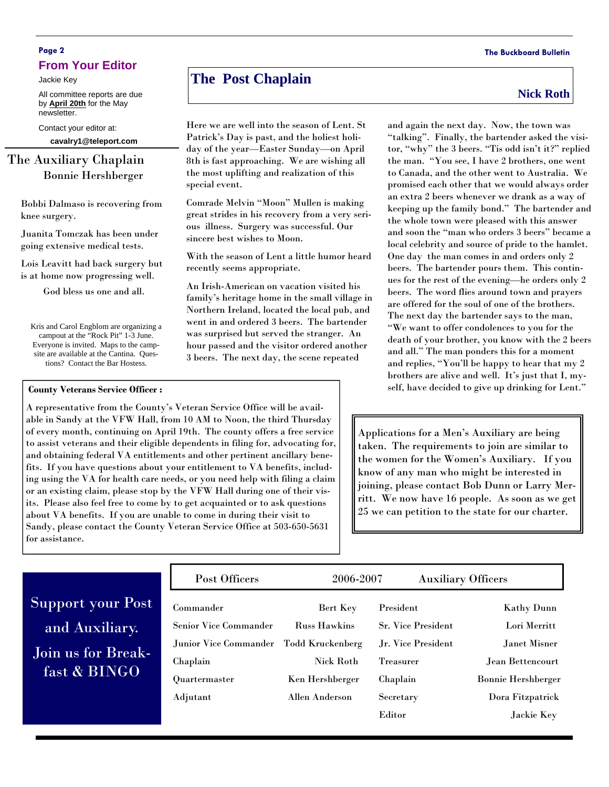## **Page 2 The Buckboard Bulletin From Your Editor**

Jackie Key

All committee reports are due by **April 20th** for the May newsletter.

Contact your editor at:

**cavalry1@teleport.com** 

## The Auxiliary Chaplain Bonnie Hershberger

Bobbi Dalmaso is recovering from knee surgery.

Juanita Tomczak has been under going extensive medical tests.

Lois Leavitt had back surgery but is at home now progressing well.

God bless us one and all.

Kris and Carol Engblom are organizing a campout at the "Rock Pit" 1-3 June. Everyone is invited. Maps to the campsite are available at the Cantina. Questions? Contact the Bar Hostess.

### **County Veterans Service Officer :**

A representative from the County's Veteran Service Office will be available in Sandy at the VFW Hall, from 10 AM to Noon, the third Thursday of every month, continuing on April 19th. The county offers a free service to assist veterans and their eligible dependents in filing for, advocating for, and obtaining federal VA entitlements and other pertinent ancillary benefits. If you have questions about your entitlement to VA benefits, including using the VA for health care needs, or you need help with filing a claim or an existing claim, please stop by the VFW Hall during one of their visits. Please also feel free to come by to get acquainted or to ask questions about VA benefits. If you are unable to come in during their visit to Sandy, please contact the County Veteran Service Office at 503-650-5631 for assistance.

# **The Post Chaplain** Nick Roth **Nick Roth**

Here we are well into the season of Lent. St Patrick's Day is past, and the holiest holiday of the year—Easter Sunday—on April 8th is fast approaching. We are wishing all the most uplifting and realization of this special event.

Comrade Melvin "Moon" Mullen is making great strides in his recovery from a very serious illness. Surgery was successful. Our sincere best wishes to Moon.

With the season of Lent a little humor heard recently seems appropriate.

An Irish-American on vacation visited his family's heritage home in the small village in Northern Ireland, located the local pub, and went in and ordered 3 beers. The bartender was surprised but served the stranger. An hour passed and the visitor ordered another 3 beers. The next day, the scene repeated

## and again the next day. Now, the town was "talking". Finally, the bartender asked the visi-

tor, "why" the 3 beers. "Tis odd isn't it?" replied the man. "You see, I have 2 brothers, one went to Canada, and the other went to Australia. We promised each other that we would always order an extra 2 beers whenever we drank as a way of keeping up the family bond." The bartender and the whole town were pleased with this answer and soon the "man who orders 3 beers" became a local celebrity and source of pride to the hamlet. One day the man comes in and orders only 2 beers. The bartender pours them. This continues for the rest of the evening—he orders only 2 beers. The word flies around town and prayers are offered for the soul of one of the brothers. The next day the bartender says to the man, "We want to offer condolences to you for the death of your brother, you know with the 2 beers and all." The man ponders this for a moment and replies, "You'll be happy to hear that my 2 brothers are alive and well. It's just that I, myself, have decided to give up drinking for Lent."

Applications for a Men's Auxiliary are being taken. The requirements to join are similar to the women for the Women's Auxiliary. If you know of any man who might be interested in joining, please contact Bob Dunn or Larry Merritt. We now have 16 people. As soon as we get 25 we can petition to the state for our charter.

|                                    | Post Officers                |                         | 2006-2007<br><b>Auxiliary Officers</b> |                           |
|------------------------------------|------------------------------|-------------------------|----------------------------------------|---------------------------|
| Support your Post                  | Commander                    | Bert Key                | President                              | <b>Kathy Dunn</b>         |
| and Auxiliary.                     | <b>Senior Vice Commander</b> | <b>Russ Hawkins</b>     | <b>Sr. Vice President</b>              | Lori Merritt              |
| Join us for Break-<br>fast & BINGO | Junior Vice Commander        | <b>Todd Kruckenberg</b> | Jr. Vice President                     | Janet Misner              |
|                                    | Chaplain                     | <b>Nick Roth</b>        | <b>Treasurer</b>                       | Jean Bettencourt          |
|                                    | Quartermaster                | Ken Hershberger         | Chaplain                               | <b>Bonnie Hershberger</b> |
|                                    | Adjutant                     | <b>Allen Anderson</b>   | Secretary                              | Dora Fitzpatrick          |
|                                    |                              |                         | Editor                                 | Jackie Key                |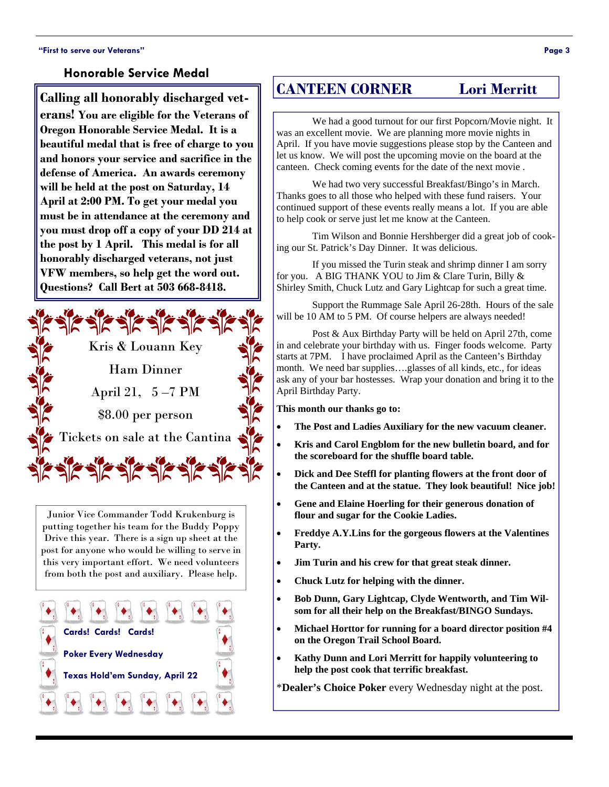## **Honorable Service Medal**

**Calling all honorably discharged veterans! You are eligible for the Veterans of Oregon Honorable Service Medal. It is a beautiful medal that is free of charge to you and honors your service and sacrifice in the defense of America. An awards ceremony will be held at the post on Saturday, 14 April at 2:00 PM. To get your medal you must be in attendance at the ceremony and you must drop off a copy of your DD 214 at the post by 1 April. This medal is for all honorably discharged veterans, not just VFW members, so help get the word out. Questions? Call Bert at 503 668-8418.** 



Junior Vice Commander Todd Krukenburg is putting together his team for the Buddy Poppy Drive this year. There is a sign up sheet at the post for anyone who would be willing to serve in this very important effort. We need volunteers from both the post and auxiliary. Please help.



## **CANTEEN CORNER Lori Merritt**

We had a good turnout for our first Popcorn/Movie night. It was an excellent movie. We are planning more movie nights in April. If you have movie suggestions please stop by the Canteen and let us know. We will post the upcoming movie on the board at the canteen. Check coming events for the date of the next movie .

 We had two very successful Breakfast/Bingo's in March. Thanks goes to all those who helped with these fund raisers. Your continued support of these events really means a lot. If you are able to help cook or serve just let me know at the Canteen.

 Tim Wilson and Bonnie Hershberger did a great job of cooking our St. Patrick's Day Dinner. It was delicious.

 If you missed the Turin steak and shrimp dinner I am sorry for you. A BIG THANK YOU to Jim & Clare Turin, Billy & Shirley Smith, Chuck Lutz and Gary Lightcap for such a great time.

 Support the Rummage Sale April 26-28th. Hours of the sale will be 10 AM to 5 PM. Of course helpers are always needed!

 Post & Aux Birthday Party will be held on April 27th, come in and celebrate your birthday with us. Finger foods welcome. Party starts at 7PM. I have proclaimed April as the Canteen's Birthday month. We need bar supplies….glasses of all kinds, etc., for ideas ask any of your bar hostesses. Wrap your donation and bring it to the April Birthday Party.

**This month our thanks go to:** 

- **The Post and Ladies Auxiliary for the new vacuum cleaner.**
- **Kris and Carol Engblom for the new bulletin board, and for the scoreboard for the shuffle board table.**
- **Dick and Dee Steffl for planting flowers at the front door of the Canteen and at the statue. They look beautiful! Nice job!**
- **Gene and Elaine Hoerling for their generous donation of flour and sugar for the Cookie Ladies.**
- **Freddye A.Y.Lins for the gorgeous flowers at the Valentines Party.**
- **Jim Turin and his crew for that great steak dinner.**
- **Chuck Lutz for helping with the dinner.**
- **Bob Dunn, Gary Lightcap, Clyde Wentworth, and Tim Wilsom for all their help on the Breakfast/BINGO Sundays.**
- **Michael Horttor for running for a board director position #4 on the Oregon Trail School Board.**
- **Kathy Dunn and Lori Merritt for happily volunteering to help the post cook that terrific breakfast.**

\***Dealer's Choice Poker** every Wednesday night at the post.